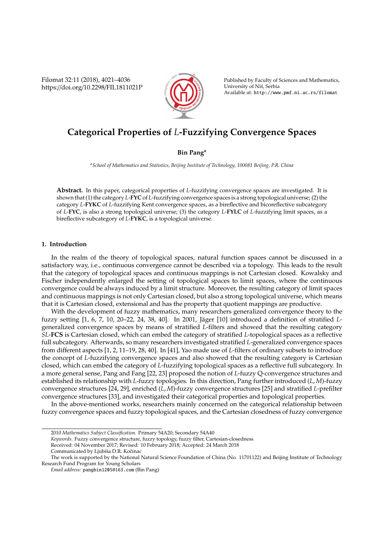Filomat 32:11 (2018), 4021–4036 https://doi.org/10.2298/FIL1811021P



Published by Faculty of Sciences and Mathematics, University of Niš, Serbia Available at: http://www.pmf.ni.ac.rs/filomat

# **Categorical Properties of** *L***-Fuzzifying Convergence Spaces**

# **Bin Pang<sup>a</sup>**

*<sup>a</sup>School of Mathematics and Statistics, Beijing Institute of Technology, 100081 Beijing, P.R. China*

**Abstract.** In this paper, categorical properties of *L*-fuzzifying convergence spaces are investigated. It is shown that (1) the category *L*-**FYC** of *L*-fuzzifying convergence spaces is a strong topological universe; (2) the category *L*-**FYKC** of *L*-fuzzifying Kent convergence spaces, as a bireflective and bicoreflective subcategory of *L*-**FYC**, is also a strong topological universe; (3) the category *L*-**FYLC** of *L*-fuzzifying limit spaces, as a bireflective subcategory of *L*-**FYKC**, is a topological universe.

# **1. Introduction**

In the realm of the theory of topological spaces, natural function spaces cannot be discussed in a satisfactory way, i.e., continuous convergence cannot be described via a topology. This leads to the result that the category of topological spaces and continuous mappings is not Cartesian closed. Kowalsky and Fischer independently enlarged the setting of topological spaces to limit spaces, where the continuous convergence could be always induced by a limit structure. Moreover, the resulting category of limit spaces and continuous mappings is not only Cartesian closed, but also a strong topological universe, which means that it is Cartesian closed, extensional and has the property that quotient mappings are productive.

With the development of fuzzy mathematics, many researchers generalized convergence theory to the fuzzy setting [1, 6, 7, 10, 20–22, 24, 38, 40]. In 2001, Jäger [10] introduced a definition of stratified *L*generalized convergence spaces by means of stratified *L*-filters and showed that the resulting category *SL*-**FCS** is Cartesian closed, which can embed the category of stratified *L*-topological spaces as a reflective full subcategory. Afterwards, so many researchers investigated stratified *L*-generalized convergence spaces from different aspects [1, 2, 11–19, 28, 40]. In [41], Yao made use of *L*-filters of ordinary subsets to introduce the concept of *L*-fuzzifying convergence spaces and also showed that the resulting category is Cartesian closed, which can embed the category of *L*-fuzzifying topological spaces as a reflective full subcategory. In a more general sense, Pang and Fang [22, 23] proposed the notion of *L*-fuzzy Q-convergence structures and established its relationship with *L*-fuzzy topologies. In this direction, Pang further introduced (*L*, *M*)-fuzzy convergence structures [24, 29], enriched (*L*, *M*)-fuzzy convergence structures [25] and stratified *L*-prefilter convergence structures [33], and investigated their categorical properties and topological properties.

In the above-mentioned works, researchers mainly concerned on the categorical relationship between fuzzy convergence spaces and fuzzy topological spaces, and the Cartesian closedness of fuzzy convergence

*Keywords*. Fuzzy convergence structure, fuzzy topology, fuzzy filter, Cartesian-closedness

Received: 04 November 2017; Revised: 10 February 2018; Accepted: 24 March 2018

<sup>2010</sup> *Mathematics Subject Classification*. Primary 54A20; Secondary 54A40

Communicated by Ljubiša D.R. Kočinac

The work is supported by the National Natural Science Foundation of China (No. 11701122) and Beijing Institute of Technology Research Fund Program for Young Scholars

*Email address:* pangbin1205@163.com (Bin Pang)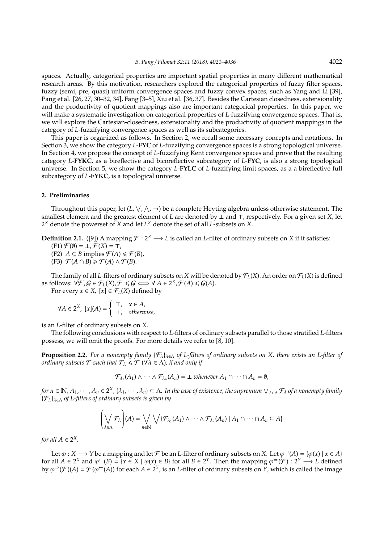spaces. Actually, categorical properties are important spatial properties in many different mathematical research areas. By this motivation, researchers explored the categorical properties of fuzzy filter spaces, fuzzy (semi, pre, quasi) uniform convergence spaces and fuzzy convex spaces, such as Yang and Li [39], Pang et al. [26, 27, 30–32, 34], Fang [3–5], Xiu et al. [36, 37]. Besides the Cartesian closedness, extensionality and the productivity of quotient mappings also are important categorical properties. In this paper, we will make a systematic investigation on categorical properties of *L*-fuzzifying convergence spaces. That is, we will explore the Cartesian-closedness, extensionality and the productivity of quotient mappings in the category of *L*-fuzzifying convergence spaces as well as its subcategories.

This paper is organized as follows. In Section 2, we recall some necessary concepts and notations. In Section 3, we show the category *L*-**FYC** of *L*-fuzzifying convergence spaces is a strong topological universe. In Section 4, we propose the concept of *L*-fuzzifying Kent convergence spaces and prove that the resulting category *L*-**FYKC**, as a bireflective and bicoreflective subcategory of *L*-**FYC**, is also a strong topological universe. In Section 5, we show the category *L*-**FYLC** of *L*-fuzzifying limit spaces, as a a bireflective full subcategory of *L*-**FYKC**, is a topological universe.

## **2. Preliminaries**

Throughout this paper, let  $(L, \vee, \wedge, \rightarrow)$  be a complete Heyting algebra unless otherwise statement. The smallest element and the greatest element of *L* are denoted by  $\perp$  and  $\top$ , respectively. For a given set *X*, let  $2^X$  denote the powerset of  $X$  and let  $L^X$  denote the set of all  $L$ -subsets on  $X$ .

**Definition 2.1.** ([9]) A mapping  $\mathcal{F}: 2^X \longrightarrow L$  is called an *L*-filter of ordinary subsets on *X* if it satisfies:

 $(F1) \mathcal{F}(\emptyset) = \bot, \mathcal{F}(X) = \top,$ 

- (F2) *A* ⊆ *B* implies  $\mathcal{F}(A) \leq \mathcal{F}(B)$ ,
- $(F3)$   $\mathcal{F}(A \cap B) \geq \mathcal{F}(A) \wedge \mathcal{F}(B)$ .

The family of all *L*-filters of ordinary subsets on *X* will be denoted by  $\mathcal{F}_L(X)$ . An order on  $\mathcal{F}_L(X)$  is defined as follows:  $\forall \mathcal{F}, \mathcal{G} \in \mathcal{F}_L(X), \mathcal{F} \leq \mathcal{G} \Longleftrightarrow \forall A \in 2^X, \mathcal{F}(A) \leq \mathcal{G}(A).$ 

For every  $x \in X$ ,  $[x] \in \mathcal{F}_L(X)$  defined by

$$
\forall A \in 2^X, [x](A) = \begin{cases} \top, & x \in A, \\ \bot, & otherwise, \end{cases}
$$

is an *L*-filter of ordinary subsets on *X*.

The following conclusions with respect to *L*-filters of ordinary subsets parallel to those stratified *L*-filters possess, we will omit the proofs. For more details we refer to [8, 10].

**Proposition 2.2.** *For a nonempty family* {Fλ}λ∈<sup>Λ</sup> *of L-filters of ordinary subsets on X, there exists an L-filter of ordinary subsets*  $\mathcal{F}$  *such that*  $\mathcal{F}_{\lambda} \leq \mathcal{F}$  ( $\forall \lambda \in \Lambda$ )*, if and only if* 

$$
\mathcal{F}_{\lambda_1}(A_1) \wedge \cdots \wedge \mathcal{F}_{\lambda_n}(A_n) = \bot \text{ whenever } A_1 \cap \cdots \cap A_n = \emptyset,
$$

for  $n\in\mathbb{N}$ ,  $A_1$ ,  $\cdots$  ,  $A_n\in 2^X$ ,  $\{\lambda_1,\cdots,\lambda_n\}\subseteq\Lambda$ . In the case of existence, the supremum  $\bigvee_{\lambda\in\Lambda}\mathcal{F}_\lambda$  of a nonempty family {Fλ}λ∈<sup>Λ</sup> *of L-filters of ordinary subsets is given by*

$$
\left(\bigvee_{\lambda\in\Lambda}\mathcal{F}_{\lambda}\right)(A)=\bigvee_{n\in\mathbb{N}}\bigvee\{\mathcal{F}_{\lambda_{1}}(A_{1})\wedge\cdots\wedge\mathcal{F}_{\lambda_{n}}(A_{n})\mid A_{1}\cap\cdots\cap A_{n}\subseteq A\}
$$

*for all*  $A \in 2^X$ *.* 

Let  $\varphi: X \longrightarrow Y$  be a mapping and let  $\mathcal F$  be an *L*-filter of ordinary subsets on *X*. Let  $\varphi \to (A) = {\varphi(x) | x \in A}$ for all  $A \in 2^X$  and  $\varphi^{\leftarrow}(B) = \{x \in X \mid \varphi(x) \in B\}$  for all  $B \in 2^Y$ . Then the mapping  $\varphi^{\Rightarrow}(\mathcal{F}) : 2^Y \longrightarrow L$  defined by  $\varphi^{\Rightarrow}(\mathcal{F})(A) = \mathcal{F}(\varphi^{\leftarrow}(A))$  for each  $A \in 2^{\gamma}$ , is an *L*-filter of ordinary subsets on  $Y$ , which is called the image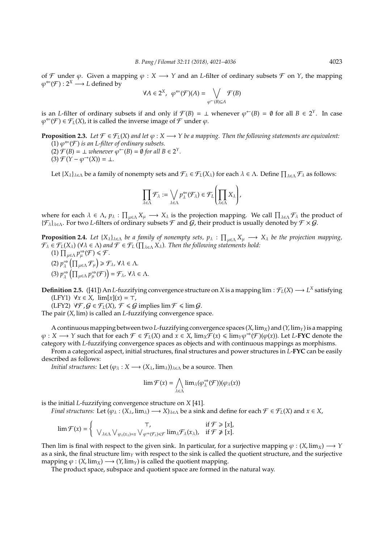of F under  $\varphi$ . Given a mapping  $\varphi$  : *X*  $\longrightarrow$  *Y* and an *L*-filter of ordinary subsets F on *Y*, the mapping  $\varphi^{\Leftarrow}(\mathcal{F}): 2^X \longrightarrow L$  defined by

$$
\forall A \in 2^X, \ \varphi^{\Leftarrow}(\mathcal{F})(A) = \bigvee_{\varphi^{\leftarrow}(B) \subseteq A} \mathcal{F}(B)
$$

is an *L*-filter of ordinary subsets if and only if  $\mathcal{F}(B) = \perp$  whenever  $\varphi^{\leftarrow}(B) = \emptyset$  for all  $B \in 2^Y$ . In case  $\varphi^{\Leftarrow}(\mathcal{F}) \in \mathcal{F}_L(X)$ , it is called the inverse image of  $\mathcal F$  under  $\varphi$ .

**Proposition 2.3.** *Let*  $\mathcal{F} \in \mathcal{F}_L(X)$  *and let*  $\varphi : X \longrightarrow Y$  *be a mapping. Then the following statements are equivalent:*  $(1) \varphi^{\Leftarrow}(\mathcal{F})$  is an L-filter of ordinary subsets.

- (2)  $\mathcal{F}(B) = \bot$  *whenever*  $\varphi^{\leftarrow}(B) = \emptyset$  *for all B* ∈ 2<sup>*Y*</sup>.
- $(3)$   $\mathcal{F}(Y \varphi^{-1}(X)) = \bot$ .

Let  $\{X_\lambda\}_{\lambda \in \Lambda}$  be a family of nonempty sets and  $\mathcal{F}_\lambda \in \mathcal{F}_L(X_\lambda)$  for each  $\lambda \in \Lambda$ . Define  $\prod_{\lambda \in \Lambda} \mathcal{F}_\lambda$  as follows:

$$
\prod_{\lambda \in \Lambda} \mathcal{F}_{\lambda} := \bigvee_{\lambda \in \Lambda} p_{\lambda}^{\Leftarrow}(\mathcal{F}_{\lambda}) \in \mathcal{F}_{L}\left(\prod_{\lambda \in \Lambda} X_{\lambda}\right),
$$

where for each  $\lambda \in \Lambda$ ,  $p_{\lambda} : \prod_{\mu \in \Lambda} X_{\mu} \longrightarrow X_{\lambda}$  is the projection mapping. We call  $\prod_{\lambda \in \Lambda} \mathcal{F}_{\lambda}$  the product of  $\{\mathcal{F}_{\lambda}\}_{{\lambda}\in {\Lambda}}$ . For two *L*-filters of ordinary subsets  $\mathcal{F}$  and  $\mathcal{G}$ , their product is usually denoted by  $\mathcal{F}\times\mathcal{G}$ .

**Proposition 2.4.** Let  ${X_\lambda}_{\lambda \in \Lambda}$  be a family of nonempty sets,  $p_\lambda : \prod_{\mu \in \Lambda} X_\mu \longrightarrow X_\lambda$  be the projection mapping,  $\mathcal{F}_{\lambda} \in \mathcal{F}_L(X_{\lambda})$  ( $\forall \lambda \in \Lambda$ ) and  $\mathcal{F} \in \mathcal{F}_L(\prod_{\lambda \in \Lambda} X_{\lambda})$ . Then the following statements hold:

- (1)  $\prod_{\mu \in \Lambda} p_{\mu}^{\Rightarrow}(\mathcal{F}) \leq \mathcal{F}$ .  $(2) p_{\lambda}^{\Rightarrow}$  $\mathcal{F}_{\lambda}\left(\prod_{\mu\in\Lambda}\mathcal{F}_{\mu}\right)\geqslant\mathcal{F}_{\lambda}$ ,  $\forall\lambda\in\Lambda$ .  $(3) p_{\lambda}^{\Rightarrow}$  $\Rightarrow_{\lambda} \left( \prod_{\mu \in \Lambda} p_{\mu}^{\Rightarrow}(\mathcal{F}) \right) = \mathcal{F}_{\lambda}, \forall \lambda \in \Lambda.$
- **Definition 2.5.** ([41]) An *L*-fuzzifying convergence structure on *X* is a mapping lim :  $\mathcal{F}_L(X) \longrightarrow L^X$  satisfying (LFY1)  $∀x ∈ X$ , lim[x](x) = ⊤,

(LFY2)  $\forall \mathcal{F}, \mathcal{G} \in \mathcal{F}_L(X), \mathcal{F} \leq \mathcal{G}$  implies  $\lim \mathcal{F} \leq \lim \mathcal{G}$ .

The pair (*X*, lim) is called an *L*-fuzzifying convergence space.

A continuous mapping between two *L*-fuzzifying convergence spaces  $(X, \lim_X)$  and  $(Y, \lim_Y)$  is a mapping  $\varphi: X \longrightarrow Y$  such that for each  $\mathcal{F} \in \mathcal{F}_L(X)$  and  $x \in X$ ,  $\lim_X \widetilde{\mathcal{F}}(x) \leq \lim_Y \varphi^{\Rightarrow}(\mathcal{F})(\varphi(x))$ . Let *L*-**FYC** denote the category with *L*-fuzzifying convergence spaces as objects and with continuous mappings as morphisms.

From a categorical aspect, initial structures, final structures and power structures in *L*-**FYC** can be easily described as follows:

*Initial structures:* Let  $(\varphi_{\lambda}: X \longrightarrow (X_{\lambda}, \lim_{\lambda})_{\lambda \in \Lambda}$  be a source. Then

$$
\lim \mathcal{F}(x) = \bigwedge_{\lambda \in \Lambda} \lim_{\lambda} (\varphi_{\lambda}^{\Rightarrow}(\mathcal{F}))(\varphi_{\lambda}(x))
$$

is the initial *L*-fuzzifying convergence structure on *X* [41].

*Final structures:* Let  $(\varphi_{\lambda} : (X_{\lambda}, \text{lim}_{\lambda}) \longrightarrow X)_{\lambda \in \Lambda}$  be a sink and define for each  $\mathcal{F} \in \mathcal{F}_L(X)$  and  $x \in X$ ,

$$
\lim \mathcal{F}(x) = \begin{cases} \tau, & \text{if } \mathcal{F} \geq [x], \\ \sqrt{\lambda \epsilon \Lambda} \sqrt{\varphi_{\lambda}(x_{\lambda})} = x \sqrt{\varphi^{\Rightarrow}(\mathcal{F}_{\lambda})} \leq \mathcal{F} \lim_{\lambda} \mathcal{F}_{\lambda}(x_{\lambda}), & \text{if } \mathcal{F} \neq [x]. \end{cases}
$$

Then lim is final with respect to the given sink. In particular, for a surjective mapping  $\varphi$  : (*X*, lim<sub>*X*</sub>)  $\longrightarrow$  *Y* as a sink, the final structure  $\lim_{Y}$  with respect to the sink is called the quotient structure, and the surjective mapping  $\varphi$  : (*X*, lim<sub>*X*</sub>)  $\longrightarrow$  (*Y*, lim<sub>*Y*</sub>) is called the quotient mapping.

The product space, subspace and quotient space are formed in the natural way.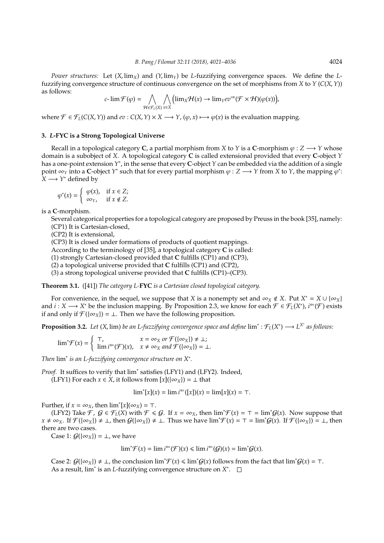$$
c\text{-}\lim \mathcal{F}(\varphi) = \bigwedge_{\mathcal{H} \in \mathcal{F}_L(X)} \bigwedge_{x \in X} \bigl(\lim_X \mathcal{H}(x) \to \lim_Y ev^{\Rightarrow} (\mathcal{F} \times \mathcal{H})(\varphi(x)) \bigr),
$$

where  $\mathcal{F} \in \mathcal{F}_L(C(X, Y))$  and  $ev : C(X, Y) \times X \longrightarrow Y$ ,  $(\varphi, x) \longmapsto \varphi(x)$  is the evaluation mapping.

## **3.** *L***-FYC is a Strong Topological Universe**

Recall in a topological category **C**, a partial morphism from *X* to *Y* is a **C**-morphism  $\varphi$  : *Z*  $\rightarrow$  *Y* whose domain is a subobject of *X*. A topological category **C** is called extensional provided that every **C**-object *Y* has a one-point extension *Y* ∗ , in the sense that every **C**-object *Y* can be embedded via the addition of a single point  $\infty_Y$  into a C-object  $Y^*$  such that for every partial morphism  $\varphi: Z \longrightarrow Y$  from X to Y, the mapping  $\varphi^*$ :  $\overline{X}$  →  $\overline{Y}^*$  defined by

$$
\varphi^*(x) = \begin{cases} \varphi(x), & \text{if } x \in Z; \\ \infty_Y, & \text{if } x \notin Z. \end{cases}
$$

is a **C**-morphism.

Several categorical properties for a topological category are proposed by Preuss in the book [35], namely: (CP1) It is Cartesian-closed,

(CP2) It is extensional,

(CP3) It is closed under formations of products of quotient mappings.

According to the terminology of [35], a topological category **C** is called:

(1) strongly Cartesian-closed provided that **C** fulfills (CP1) and (CP3),

(2) a topological universe provided that **C** fulfills (CP1) and (CP2),

(3) a strong topological universe provided that **C** fulfills (CP1)–(CP3).

**Theorem 3.1.** ([41]) *The category L-***FYC** *is a Cartesian closed topological category.*

For convenience, in the sequel, we suppose that *X* is a nonempty set and  $\infty_X \notin X$ . Put  $X^* = X \cup {\infty_X}$ and  $i: X \longrightarrow X^*$  be the inclusion mapping. By Proposition 2.3, we know for each  $\mathcal{F} \in \mathcal{F}_L(X^*)$ ,  $i^{\Leftarrow}(\mathcal{F})$  exists if and only if  $\mathcal{F}(\{\infty_X\}) = \bot$ . Then we have the following proposition.

**Proposition 3.2.** Let (X, lim) be an L-fuzzifying convergence space and define  $\lim^* : \mathcal{F}_L(X^*) \longrightarrow L^{X^*}$  as follows:

$$
\lim^*\mathcal{F}(x) = \begin{cases} \top, & x = \infty_X \text{ or } \mathcal{F}(\{\infty_X\}) \neq \bot; \\ \lim i^{\leftarrow}(\mathcal{F})(x), & x \neq \infty_X \text{ and } \mathcal{F}(\{\infty_X\}) = \bot. \end{cases}
$$

*Then* lim<sup>∗</sup> *is an L-fuzzifying convergence structure on X*<sup>∗</sup> *.*

Proof. It suffices to verify that lim<sup>\*</sup> satisfies (LFY1) and (LFY2). Indeed, (LFY1) For each  $x \in X$ , it follows from  $[x](\{\infty_X\}) = \bot$  that

$$
\lim^*[x](x) = \lim i^{\Leftarrow}([x])(x) = \lim [x](x) = \top.
$$

Further, if  $x = \infty_X$ , then  $\lim^*[x](\infty_X) = \top$ .

(LFY2) Take  $\mathcal{F}$ ,  $\mathcal{G} \in \mathcal{F}_L(X)$  with  $\mathcal{F} \leq \mathcal{G}$ . If  $x = \infty_X$ , then  $\lim^* \mathcal{F}(x) = \tau = \lim^* \mathcal{G}(x)$ . Now suppose that  $x \neq \infty_X$ . If  $\mathcal{F}(\{\infty_X\}) \neq \bot$ , then  $\mathcal{G}(\{\infty_X\}) \neq \bot$ . Thus we have  $\lim^* \mathcal{F}(x) = \top = \lim^* \mathcal{G}(x)$ . If  $\mathcal{F}(\{\infty_X\}) = \bot$ , then there are two cases.

Case 1:  $G(\{\infty_X\}) = \bot$ , we have

$$
\lim{}^*\mathcal{F}(x) = \lim{} i^{\Leftarrow}(\mathcal{F})(x) \le \lim{} i^{\Leftarrow}(\mathcal{G})(x) = \lim{}^*\mathcal{G}(x).
$$

Case 2:  $G(\{\infty_X\}) \neq \bot$ , the conclusion  $\lim^* \mathcal{F}(x) \leq \lim^* G(x)$  follows from the fact that  $\lim^* G(x) = \top$ . As a result, lim<sup>\*</sup> is an *L*-fuzzifying convergence structure on *X*<sup>\*</sup>.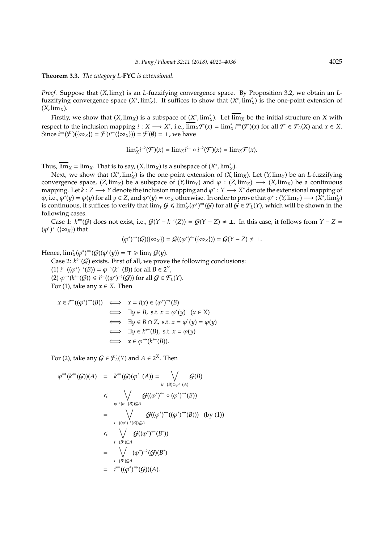#### **Theorem 3.3.** *The category L-***FYC** *is extensional.*

*Proof.* Suppose that (*X*, lim*X*) is an *L*-fuzzifying convergence space. By Proposition 3.2, we obtain an *L*fuzzifying convergence space  $(X^*, \lim_X^*)$ . It suffices to show that  $(X^*, \lim_X^*)$  is the one-point extension of  $(X, \text{lim}_X)$ .

Firstly, we show that  $(X, \lim_X)$  is a subspace of  $(X^*, \lim_X^*)$ . Let  $\overline{\lim}_X$  be the initial structure on *X* with respect to the inclusion mapping  $i : X \longrightarrow X^*$ , i.e.,  $\overline{\lim}_X \mathcal{F}(x) = \lim_{X \to X^*} i^{\Rightarrow}(\mathcal{F})(x)$  for all  $\mathcal{F} \in \mathcal{F}_L(X)$  and  $x \in X$ . Since  $i^{\Rightarrow}(\mathcal{F})(\{\infty_X\}) = \mathcal{F}(i^{\leftarrow}(\{\infty_X\})) = \mathcal{F}(\emptyset) = \bot$ , we have

$$
{\rm lim}_{X}^{\ast}i^{\Rightarrow}(\mathcal{F})(x)={\rm lim}_{X}i^{\Leftarrow}\circ i^{\Rightarrow}(\mathcal{F})(x)={\rm lim}_{X}\mathcal{F}(x).
$$

Thus,  $\overline{\lim}_{X}$  =  $\lim_{X}$ . That is to say, (*X*,  $\lim_{X}$ ) is a subspace of (*X*<sup>\*</sup>,  $\lim_{X}$ <sup>\*</sup>).

Next, we show that  $(X^*, \lim_X^*)$  is the one-point extension of  $(X, \lim_X)$ . Let  $(Y, \lim_Y)$  be an *L*-fuzzifying convergence space,  $(Z, \text{lim}_Z)$  be a subspace of  $(Y, \text{lim}_Y)$  and  $\varphi : (Z, \text{lim}_Z) \longrightarrow (X, \text{lim}_X)$  be a continuous mapping. Let  $k: Z \longrightarrow Y$  denote the inclusion mapping and  $\varphi^*: Y \longrightarrow X^*$  denote the extensional mapping of  $\varphi$ , i.e.,  $\varphi^*(y) = \varphi(y)$  for all  $y \in Z$ , and  $\varphi^*(y) = \infty_X$  otherwise. In order to prove that  $\varphi^*: (Y, \lim_Y) \longrightarrow (X^*, \lim_X)$ is continuous, it suffices to verify that  $\lim_{Y} G \leq \lim_{X} (\varphi^*)^{\Rightarrow} (G)$  for all  $G \in \mathcal{F}_L(Y)$ , which will be shown in the following cases.

Case 1:  $k^=(G)$  does not exist, i.e.,  $G(Y - k^{\rightarrow}(Z)) = G(Y - Z) \neq \bot$ . In this case, it follows from *Y* − *Z* =  $(\varphi^*)^{\leftarrow}(\{\infty_X\})$  that

$$
(\varphi^*)^{\Rightarrow}(\mathcal{G})(\{\infty_X\}) = \mathcal{G}((\varphi^*)^{\leftarrow}(\{\infty_X\})) = \mathcal{G}(Y - Z) \neq \bot.
$$

Hence,  $\lim_{X}^{\ast}(\varphi^*)^{\Rightarrow}(\mathcal{G})(\varphi^*(y)) = \top \geq \lim_{Y} \mathcal{G}(y)$ .

Case 2:  $k^{\Leftarrow}$  (*G*) exists. First of all, we prove the following conclusions:

(1)  $i^{\leftarrow}((\varphi^*)^{-\rightarrow}(B)) = \varphi^{\rightarrow}(k^{\leftarrow}(B))$  for all  $B \in 2^{\gamma}$ ,  $(2) \varphi^{\Rightarrow}(k^{\Leftarrow}(\mathcal{G})) \leq i^{\Leftarrow}((\varphi^*)^{\Rightarrow}(\mathcal{G}))$  for all  $\mathcal{G} \in \mathcal{F}_L(Y)$ . For (1), take any  $x \in X$ . Then

$$
x \in i^{\leftarrow}((\varphi^*)^{\rightarrow}(B)) \iff x = i(x) \in (\varphi^*)^{\rightarrow}(B)
$$
  
\n
$$
\iff \exists y \in B, \text{ s.t. } x = \varphi^*(y) \quad (x \in X)
$$
  
\n
$$
\iff \exists y \in B \cap Z, \text{ s.t. } x = \varphi^*(y) = \varphi(y)
$$
  
\n
$$
\iff \exists y \in k^{\leftarrow}(B), \text{ s.t. } x = \varphi(y)
$$
  
\n
$$
\iff x \in \varphi^{\rightarrow}(k^{\leftarrow}(B)).
$$

For (2), take any  $G \in \mathcal{F}_L(Y)$  and  $A \in 2^X$ . Then

$$
\varphi^{\Rightarrow}(k^{\leftarrow}(\mathcal{G}))(A) = k^{\leftarrow}(\mathcal{G})(\varphi^{\leftarrow}(A)) = \bigvee_{k^{\leftarrow}(B)\subseteq\varphi^{\leftarrow}(A)} \mathcal{G}(B)
$$
  
\n
$$
\leq \bigvee_{\varphi^{\rightarrow}(k^{\leftarrow}(B))\subseteq A} \mathcal{G}((\varphi^{\ast})^{\leftarrow} \circ (\varphi^{\ast})^{\rightarrow}(B))
$$
  
\n
$$
= \bigvee_{i^{\leftarrow}((\varphi^{\ast})^{\rightarrow}(B))\subseteq A} \mathcal{G}((\varphi^{\ast})^{\leftarrow}((\varphi^{\ast})^{\rightarrow}(B))) \text{ (by (1))}
$$
  
\n
$$
\leq \bigvee_{i^{\leftarrow}(B^{\ast})\subseteq A} \mathcal{G}((\varphi^{\ast})^{\leftarrow}(B^{\ast}))
$$
  
\n
$$
= \bigvee_{i^{\leftarrow}(B^{\ast})\subseteq A} (\varphi^{\ast})^{\rightarrow}(\mathcal{G})(B^{\ast})
$$
  
\n
$$
= i^{\leftarrow}((\varphi^{\ast})^{\rightarrow}(\mathcal{G}))(A).
$$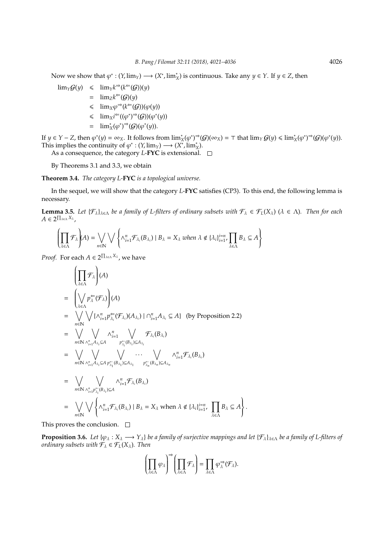Now we show that  $\varphi^* : (Y, \lim_Y) \longrightarrow (X^*, \lim_X^*)$  is continuous. Take any  $y \in Y$ . If  $y \in Z$ , then

$$
\begin{array}{rcl}\n\lim_{Y} \mathcal{G}(y) & \leq & \lim_{Y} k^{\Rightarrow} (k^{\Leftarrow}(\mathcal{G}))(y) \\
& = & \lim_{Z} k^{\Leftarrow}(\mathcal{G})(y) \\
& \leq & \lim_{X} \varphi^{\Rightarrow} (k^{\Leftarrow}(\mathcal{G}))(\varphi(y)) \\
& \leq & \lim_{X} i^{\Leftarrow}((\varphi^*)^{\Rightarrow}(\mathcal{G}))(\varphi^*(y)) \\
& = & \lim_{X} (\varphi^*)^{\Rightarrow}(\mathcal{G})(\varphi^*(y)).\n\end{array}
$$

If  $y \in Y - Z$ , then  $\varphi^*(y) = \infty_X$ . It follows from  $\lim_X^*(\varphi^*) \to (\mathcal{G})(\infty_X) = \top$  that  $\lim_Y \mathcal{G}(y) \leq \lim_X^*(\varphi^*) \to (\mathcal{G})(\varphi^*(y))$ . This implies the continuity of  $\varphi^* : (Y, \text{lim}_Y) \longrightarrow (X^*, \text{lim}_X^*)$ .

As a consequence, the category *L*-**FYC** is extensional.

By Theorems 3.1 and 3.3, we obtain

**Theorem 3.4.** *The category L-***FYC** *is a topological universe.*

In the sequel, we will show that the category *L*-**FYC** satisfies (CP3). To this end, the following lemma is necessary.

**Lemma 3.5.** *Let*  $\{\mathcal{F}_{\lambda}\}_{{\lambda \in \Lambda}}$  *be a family of L-filters of ordinary subsets with*  $\mathcal{F}_{\lambda} \in \mathcal{F}_L(X_{\lambda})$  ( $\lambda \in \Lambda$ ). Then for each  $A ∈ 2<sup>Π<sub>λ∈Λ</sub> X<sub>λ</sub></sup>$ ,

$$
\left(\prod_{\lambda\in\Lambda}\mathcal{F}_{\lambda}\right)(A) = \bigvee_{n\in\mathbb{N}} \bigvee \left\{\wedge_{i=1}^{n}\mathcal{F}_{\lambda_{i}}(B_{\lambda_{i}}) \mid B_{\lambda} = X_{\lambda} \text{ when } \lambda \notin \{\lambda_{i}\}_{i=1}^{i=n}, \prod_{\lambda\in\Lambda}B_{\lambda} \subseteq A\right\}
$$

*Proof.* For each  $A \in 2^{\prod_{\lambda \in \Lambda} X_{\lambda}}$ , we have

$$
\begin{aligned}\n&\left(\prod_{\lambda\in\Lambda}\mathcal{F}_{\lambda}\right)(A) \\
&= \left(\bigvee_{\lambda\in\Lambda}p_{\lambda}^{\leftarrow}(\mathcal{F}_{\lambda})\right)(A) \\
&= \bigvee_{n\in\mathbb{N}}\bigvee_{\lambda\in\Lambda}\{\wedge_{i=1}^{n}p_{\lambda_{i}}^{\leftarrow}(\mathcal{F}_{\lambda_{i}})(A_{\lambda_{i}}) \mid \cap_{i=1}^{n}A_{\lambda_{i}}\subseteq A\} \quad \text{(by Proposition 2.2)} \\
&= \bigvee_{n\in\mathbb{N}}\bigvee_{\lambda_{i=1}^{n}A_{\lambda_{i}}\subseteq A} \wedge_{i=1}^{n} \bigvee_{p_{\lambda_{i}}^{\leftarrow}(\mathcal{B}_{\lambda_{i}})\subseteq A_{\lambda_{i}}} \mathcal{F}_{\lambda_{i}}(B_{\lambda_{i}}) \\
&= \bigvee_{n\in\mathbb{N}}\bigvee_{\lambda_{i=1}^{n}A_{\lambda_{i}}\subseteq A} \bigvee_{p_{\lambda_{i}}^{\leftarrow}(\mathcal{B}_{\lambda_{i}})\subseteq A_{\lambda_{1}}} \cdots \bigvee_{p_{\lambda_{n}}^{\leftarrow}(\mathcal{B}_{\lambda_{n}})\subseteq A_{\lambda_{n}}} \wedge_{i=1}^{n} \mathcal{F}_{\lambda_{i}}(B_{\lambda_{i}}) \\
&= \bigvee_{n\in\mathbb{N}} \bigvee_{\lambda_{i=1}^{n}p_{\lambda_{i}}^{\leftarrow}(\mathcal{B}_{\lambda_{i}})\subseteq A} \wedge_{i=1}^{n} \mathcal{F}_{\lambda_{i}}(B_{\lambda_{i}}) \\
&= \bigvee_{n\in\mathbb{N}} \bigvee_{n\in\mathbb{N}} \left\{\wedge_{i=1}^{n} \mathcal{F}_{\lambda_{i}}(B_{\lambda_{i}}) \mid B_{\lambda} = X_{\lambda} \text{ when } \lambda \notin \{\lambda_{i}\}_{i=1}^{i=n}, \prod_{\lambda\in\Lambda} B_{\lambda} \subseteq A\right\}\n\end{aligned}
$$

This proves the conclusion.  $\square$ 

**Proposition 3.6.** *Let*  $\{\varphi_\lambda : X_\lambda \longrightarrow Y_\lambda\}$  *be a family of surjective mappings and let*  $\{\mathcal{F}_\lambda\}_{\lambda \in \Lambda}$  *be a family of L-filters of ordinary subsets with*  $\mathcal{F}_{\lambda} \in \mathcal{F}_L(X_{\lambda})$ *. Then* 

.

$$
\left(\prod_{\lambda\in\Lambda}\varphi_\lambda\right)^\Rightarrow\left(\prod_{\lambda\in\Lambda}\mathcal{F}_\lambda\right)=\prod_{\lambda\in\Lambda}\varphi_\lambda^\Rightarrow(\mathcal{F}_\lambda).
$$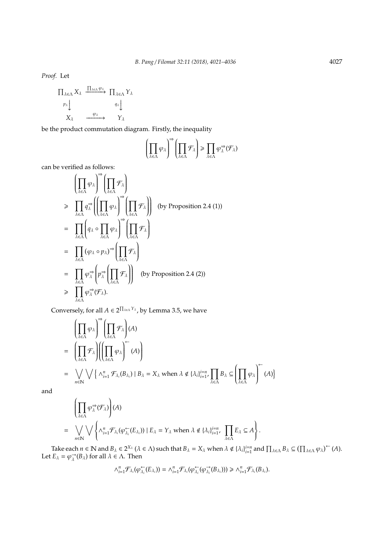*Proof.* Let

$$
\Pi_{\lambda \in \Lambda} X_{\lambda} \xrightarrow{\Pi_{\lambda \in \Lambda} \varphi_{\lambda}} \Pi_{\lambda \in \Lambda} Y_{\lambda}
$$
\n
$$
\varphi_{\lambda} \downarrow \qquad \qquad \varphi_{\lambda} \downarrow \qquad \qquad \varphi_{\lambda} \downarrow
$$
\n
$$
X_{\lambda} \xrightarrow{\varphi_{\lambda}} Y_{\lambda}
$$

be the product commutation diagram. Firstly, the inequality

$$
\left(\prod_{\lambda\in\Lambda}\varphi_\lambda\right)^\Rightarrow\left(\prod_{\lambda\in\Lambda}\mathcal{F}_\lambda\right)\geq \prod_{\lambda\in\Lambda}\varphi_\lambda^\Rightarrow(\mathcal{F}_\lambda)
$$

can be verified as follows:

$$
\left(\prod_{\lambda \in \Lambda} \varphi_{\lambda}\right)^{\Rightarrow} \left(\prod_{\lambda \in \Lambda} \mathcal{F}_{\lambda}\right)
$$
\n
$$
\geq \prod_{\lambda \in \Lambda} q_{\lambda}^{\Rightarrow} \left(\left(\prod_{\lambda \in \Lambda} \varphi_{\lambda}\right)^{\Rightarrow} \left(\prod_{\lambda \in \Lambda} \mathcal{F}_{\lambda}\right)\right) \text{ (by Proposition 2.4 (1))}
$$
\n
$$
= \prod_{\lambda \in \Lambda} \left(q_{\lambda} \circ \prod_{\lambda \in \Lambda} \varphi_{\lambda}\right)^{\Rightarrow} \left(\prod_{\lambda \in \Lambda} \mathcal{F}_{\lambda}\right)
$$
\n
$$
= \prod_{\lambda \in \Lambda} (\varphi_{\lambda} \circ p_{\lambda})^{\Rightarrow} \left(\prod_{\lambda \in \Lambda} \mathcal{F}_{\lambda}\right)
$$
\n
$$
= \prod_{\lambda \in \Lambda} \varphi_{\lambda}^{\Rightarrow} \left(p_{\lambda}^{\Rightarrow} \left(\prod_{\lambda \in \Lambda} \mathcal{F}_{\lambda}\right)\right) \text{ (by Proposition 2.4 (2))}
$$
\n
$$
\geq \prod_{\lambda \in \Lambda} \varphi_{\lambda}^{\Rightarrow} (\mathcal{F}_{\lambda}).
$$

Conversely, for all  $A \in 2^{\prod_{\lambda \in \Lambda} Y_{\lambda}}$ , by Lemma 3.5, we have

$$
\left(\prod_{\lambda \in \Lambda} \varphi_{\lambda}\right)^{\Rightarrow} \left(\prod_{\lambda \in \Lambda} \mathcal{F}_{\lambda}\right) (A)
$$
\n
$$
= \left(\prod_{\lambda \in \Lambda} \mathcal{F}_{\lambda}\right) \left(\left(\prod_{\lambda \in \Lambda} \varphi_{\lambda}\right)^{\leftarrow} (A)\right)
$$
\n
$$
= \bigvee_{n \in \mathbb{N}} \bigvee \left\{\Lambda_{i=1}^{n} \mathcal{F}_{\lambda_{i}}(B_{\lambda_{i}}) \mid B_{\lambda} = X_{\lambda} \text{ when } \lambda \notin \{\lambda_{i}\}_{i=1}^{i=n}, \prod_{\lambda \in \Lambda} B_{\lambda} \subseteq \left(\prod_{\lambda \in \Lambda} \varphi_{\lambda}\right)^{\leftarrow} (A)\right\}
$$

and

$$
\left(\prod_{\lambda\in\Lambda}\varphi_{\lambda}^{\Rightarrow}(\mathcal{F}_{\lambda})\right)(A)
$$
\n
$$
=\bigvee_{n\in\mathbb{N}}\bigvee\left\{\Lambda_{i=1}^{n}\mathcal{F}_{\lambda_{i}}(\varphi_{\lambda_{i}}\in\mathcal{E}_{\lambda_{i}}))\mid E_{\lambda}=\Upsilon_{\lambda}\text{ when }\lambda\notin\{\lambda_{i}\}_{i=1}^{i=n},\prod_{\lambda\in\Lambda}E_{\lambda}\subseteq A\right\}.
$$

Take each  $n \in \mathbb{N}$  and  $B_{\lambda} \in 2^{X_{\lambda}}$  ( $\lambda \in \Lambda$ ) such that  $B_{\lambda} = X_{\lambda}$  when  $\lambda \notin {\lambda_i}_{i=1}^{i=n}$  and  $\prod_{\lambda \in \Lambda} B_{\lambda} \subseteq (\prod_{\lambda \in \Lambda} \varphi_{\lambda})^{\leftarrow}(A)$ . Let  $E_{\lambda} = \varphi_{\lambda}^{\rightarrow}$  $\overrightarrow{\lambda}$  (*B*<sub>λ</sub>) for all  $\lambda$  ∈ Λ. Then

$$
\wedge_{i=1}^n \mathcal{F}_{\lambda_i}(\varphi_{\lambda_i}^\leftarrow(E_{\lambda_i}))=\wedge_{i=1}^n \mathcal{F}_{\lambda_i}(\varphi_{\lambda_i}^\leftarrow(\varphi_{\lambda_i}^\rightarrow(B_{\lambda_i})))\geq \wedge_{i=1}^n \mathcal{F}_{\lambda_i}(B_{\lambda_i}).
$$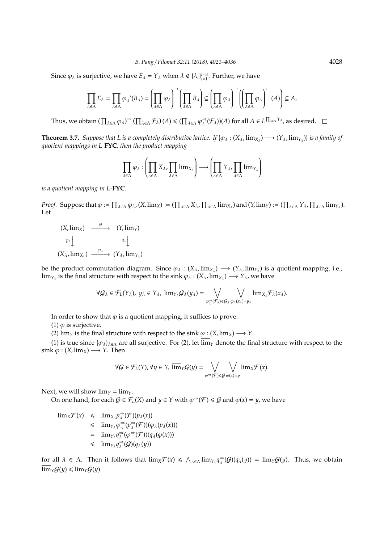Since  $\varphi_{\lambda}$  is surjective, we have  $E_{\lambda} = Y_{\lambda}$  when  $\lambda \notin {\lambda_i}^{i=n}_{i=1}$ . Further, we have

$$
\prod_{\lambda\in\Lambda}E_\lambda=\prod_{\lambda\in\Lambda}\varphi_\lambda^{\rightarrow}(B_\lambda)=\left(\prod_{\lambda\in\Lambda}\varphi_\lambda\right)^{\rightarrow}\left(\prod_{\lambda\in\Lambda}B_\lambda\right)\subseteq\left(\prod_{\lambda\in\Lambda}\varphi_\lambda\right)^{\rightarrow}\left(\left(\prod_{\lambda\in\Lambda}\varphi_\lambda\right)^{\leftarrow}(A)\right)\subseteq A,
$$

Thus, we obtain  $\left(\prod_{\lambda \in \Lambda} \varphi_{\lambda}\right)^{\Rightarrow} \left(\prod_{\lambda \in \Lambda} \mathcal{F}_{\lambda}\right)(A) \leqslant \left(\prod_{\lambda \in \Lambda} \varphi_{\lambda}^{\Rightarrow}\right)$  $\Rightarrow_{\lambda}^{\Rightarrow}$  ( $\mathcal{F}_{\lambda}$ ))(*A*) for all  $A \in L^{\prod_{\lambda \in \Lambda} Y_{\lambda}}$ , as desired.

**Theorem 3.7.** Suppose that L is a completely distributive lattice. If  $\{\varphi_\lambda:(X_\lambda,\lim_{X_\lambda})\longrightarrow(Y_\lambda,\lim_{Y_\lambda})\}$  is a family of *quotient mappings in L-***FYC***, then the product mapping*

$$
\prod_{\lambda \in \Lambda} \varphi_\lambda : \left(\prod_{\lambda \in \Lambda} X_\lambda, \prod_{\lambda \in \Lambda} \lim_{\chi_\lambda} \right) \longrightarrow \left(\prod_{\lambda \in \Lambda} Y_\lambda, \prod_{\lambda \in \Lambda} \lim_{\gamma_\lambda} \right)
$$

*is a quotient mapping in L-***FYC***.*

*Proof.* Suppose that  $\varphi := \prod_{\lambda \in \Lambda} \varphi_{\lambda}$ ,  $(X, \lim_X) := (\prod_{\lambda \in \Lambda} X_{\lambda}$ ,  $\prod_{\lambda \in \Lambda} \lim_{X_{\lambda}})$  and  $(Y, \lim_Y) := (\prod_{\lambda \in \Lambda} Y_{\lambda}$ ,  $\prod_{\lambda \in \Lambda} \lim_{Y_{\lambda}})$ . Let

$$
(X, \lim_X) \xrightarrow{\varphi} (Y, \lim_Y)
$$
  
\n
$$
\downarrow^{p_{\lambda}} \downarrow \qquad \qquad q_{\lambda} \downarrow
$$
  
\n
$$
(X_{\lambda}, \lim_{X_{\lambda}}) \xrightarrow{\varphi_{\lambda}} (Y_{\lambda}, \lim_{Y_{\lambda}})
$$

be the product commutation diagram. Since  $\varphi_\lambda : (X_\lambda, \text{lim}_{X_\lambda}) \longrightarrow (Y_\lambda, \text{lim}_{Y_\lambda})$  is a quotient mapping, i.e.,  $\lim_{Y_\lambda}$  is the final structure with respect to the sink  $\varphi_\lambda: (X_\lambda,\lim_{X_\lambda}) \longrightarrow Y_\lambda$ , we have

$$
\forall \mathcal{G}_{\lambda} \in \mathcal{F}_{L}(Y_{\lambda}), y_{\lambda} \in Y_{\lambda}, \, \lim_{Y_{\lambda}} \mathcal{G}_{\lambda}(y_{\lambda}) = \bigvee_{\varphi_{\lambda}^{\Rightarrow}(\mathcal{F}_{\lambda}) \leq \mathcal{G}_{\lambda}} \bigvee_{\varphi_{\lambda}(x_{\lambda}) = y_{\lambda}} \lim_{X_{\lambda}} \mathcal{F}_{\lambda}(x_{\lambda}).
$$

In order to show that  $\varphi$  is a quotient mapping, it suffices to prove:

(1)  $\varphi$  is surjective.

(2)  $\lim_{Y}$  is the final structure with respect to the sink  $\varphi$  : (*X*,  $\lim_{X}$ )  $\longrightarrow$  *Y*.

(1) is true since  $\{\varphi_\lambda\}_{\lambda \in \Lambda}$  are all surjective. For (2), let  $\overline{\lim}_Y$  denote the final structure with respect to the  $\sin k \varphi : (X, \lim_X) \longrightarrow Y$ . Then

$$
\forall \mathcal{G} \in \mathcal{F}_L(Y), \forall y \in Y, \ \overline{\lim}_Y \mathcal{G}(y) = \bigvee_{\varphi \Rightarrow (\mathcal{F}) \leq \mathcal{G}} \bigvee_{\varphi(x) = y} \lim_{X} \mathcal{F}(x).
$$

Next, we will show  $\lim_{\Upsilon} = \overline{\lim}_{\Upsilon}$ .

On one hand, for each  $G \in \mathcal{F}_L(X)$  and  $y \in Y$  with  $\varphi \rightarrow (\mathcal{F}) \leq G$  and  $\varphi(x) = y$ , we have

 $\lim_{X \to \infty} \mathcal{F}(x) \leq \lim_{X \to \infty} p_{\lambda}^{\Rightarrow}$  $\Rightarrow_{\lambda} \mathcal{F}(\mathcal{F}) (p_{\lambda}(x))$  $\leqslant \lim_{\gamma_{\lambda}} \varphi_{\lambda}^{\Rightarrow}$  $\Rightarrow_{\lambda} \varphi_{\lambda} \Rightarrow$  $\Rightarrow_{\lambda}^{\Rightarrow}$ (F))( $\varphi_{\lambda}(p_{\lambda}(x))$ )  $=$  lim<sub>*Y*<sup> $_{\lambda}$ </sup> $q_{\lambda}^{\Rightarrow}$ </sub>  $\Rightarrow_{\lambda} \varphi \Rightarrow (\mathcal{F})) (q_{\lambda}(\varphi(x)))$ 6 lim*<sup>Y</sup>*<sup>λ</sup> *q* ⇒  $\Rightarrow_{\lambda}^{\Rightarrow}$ (G)(q<sub>λ</sub>(y))

for all  $\lambda \in \Lambda$ . Then it follows that  $\lim_{x \to \Lambda} f(x) \leq \lambda_{\lambda \in \Lambda} \lim_{\gamma_{\lambda}} q_{\lambda}^{\Rightarrow}$  $\frac{\partial}{\partial \lambda}(\mathcal{G})(q_{\lambda}(y)) = \lim_{Y} \mathcal{G}(y)$ . Thus, we obtain  $\overline{\lim}_{Y}G(y) \leq \lim_{Y}G(y)$ .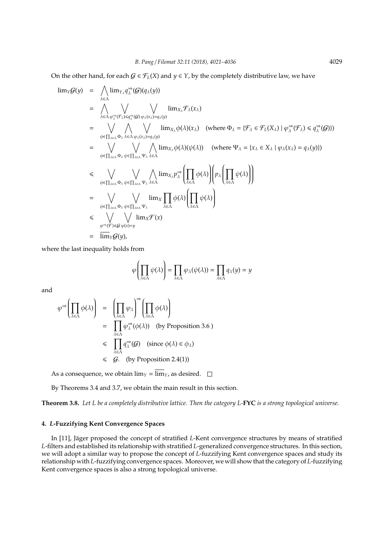On the other hand, for each  $G \in \mathcal{F}_L(X)$  and  $\gamma \in Y$ , by the completely distributive law, we have

$$
\begin{array}{lll}\n\lim_{Y} \mathcal{G}(y) &=& \bigwedge_{\lambda \in \Lambda} \lim_{Y_{\lambda} q_{\lambda}^{-1}} (\mathcal{G}) (q_{\lambda}(y)) \\
&=& \bigwedge_{\lambda \in \Lambda} \bigvee_{\varphi_{\lambda}^{-1} (\mathcal{G}) \cap \varphi_{\lambda} (x_{\lambda}) = q_{\lambda}(y)} \bigvee_{\lambda \in \Lambda \varphi_{\lambda} \mathcal{F}_{\lambda}} \lim_{X_{\lambda} \phi(\lambda) (x_{\lambda})} \lim_{X_{\lambda} \phi(\lambda) (x_{\lambda})} (\text{where } \Phi_{\lambda} = \{\mathcal{F}_{\lambda} \in \mathcal{F}_{L}(X_{\lambda}) \mid \varphi_{\lambda}^{-2} (\mathcal{F}_{\lambda}) \leq q_{\lambda}^{-3} (\mathcal{G})\}) \\
&=& \bigvee_{\phi \in \prod_{\lambda \in \Lambda} \Phi_{\lambda}} \bigwedge_{\lambda \in \Lambda \varphi_{\lambda} \mathcal{F}_{\lambda}} \lim_{\lambda \in \Lambda} \phi(\lambda) (\psi(\lambda)) \quad (\text{where } \Psi_{\lambda} = \{x_{\lambda} \in X_{\lambda} \mid \varphi_{\lambda} (x_{\lambda}) = q_{\lambda}(y)\}) \\
& \leqslant & \bigvee_{\phi \in \prod_{\lambda \in \Lambda} \Phi_{\lambda} \psi \in \prod_{\lambda \in \Lambda} \Psi_{\lambda} \mathcal{F}_{\lambda}} \bigwedge_{\lambda \in \Lambda} \lim_{X_{\lambda} \mathcal{F}_{\lambda}^{-1}} \bigg(\prod_{\lambda \in \Lambda} \phi(\lambda)\bigg) \bigg(p_{\lambda} \bigg(\prod_{\lambda \in \Lambda} \psi(\lambda)\bigg)\bigg) \\
&=& \bigvee_{\phi \in \prod_{\lambda \in \Lambda} \Phi_{\lambda} \psi \in \prod_{\lambda \in \Lambda} \Psi_{\lambda}} \lim_{X_{\lambda} \mathcal{F}_{\lambda}} \phi(\lambda) \bigg(\prod_{\lambda \in \Lambda} \psi(\lambda)\bigg) \\
& \leqslant & \bigvee_{\phi \in \Pi_{\lambda \in \Lambda} \Phi_{\lambda}} \bigvee_{\psi \in \prod_{\lambda \in \Lambda} \Psi_{\lambda}} \lim_{\lambda \in \Lambda} \mathcal{F}_{\lambda} (\lambda) \bigg(\prod_{\lambda \in \Lambda} \psi(\lambda)\bigg) \\
& \leq
$$

where the last inequality holds from

$$
\varphi\left(\prod_{\lambda\in\Lambda}\psi(\lambda)\right)=\prod_{\lambda\in\Lambda}\varphi_\lambda(\psi(\lambda))=\prod_{\lambda\in\Lambda}q_\lambda(y)=y
$$

and

$$
\varphi^{\Rightarrow}\left(\prod_{\lambda\in\Lambda}\phi(\lambda)\right) = \left(\prod_{\lambda\in\Lambda}\varphi_{\lambda}\right)^{\Rightarrow}\left(\prod_{\lambda\in\Lambda}\phi(\lambda)\right)
$$
  
\n
$$
= \prod_{\lambda\in\Lambda}\varphi_{\lambda}^{\Rightarrow}(\phi(\lambda)) \text{ (by Proposition 3.6)}
$$
  
\n
$$
\leq \prod_{\lambda\in\Lambda}\varphi_{\lambda}^{\Rightarrow}(G) \text{ (since } \phi(\lambda) \in \phi_{\lambda})
$$
  
\n
$$
\leq G. \text{ (by Proposition 2.4(1))}
$$

As a consequence, we obtain  $\lim_{Y} = \overline{\lim}_{Y}$ , as desired.  $\square$ 

By Theorems 3.4 and 3.7, we obtain the main result in this section.

**Theorem 3.8.** *Let L be a completely distributive lattice. Then the category L-***FYC** *is a strong topological universe.*

## **4.** *L***-Fuzzifying Kent Convergence Spaces**

In [11], Jäger proposed the concept of stratified *L*-Kent convergence structures by means of stratified *L*-filters and established its relationship with stratified *L*-generalized convergence structures. In this section, we will adopt a similar way to propose the concept of *L*-fuzzifying Kent convergence spaces and study its relationship with *L*-fuzzifying convergence spaces. Moreover, we will show that the category of *L*-fuzzifying Kent convergence spaces is also a strong topological universe.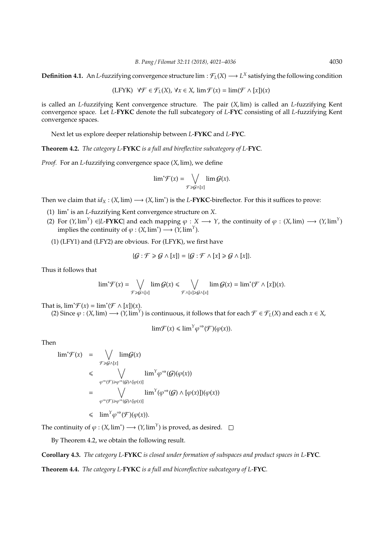**Definition 4.1.** An *L*-fuzzifying convergence structure  $\lim : \mathcal{F}_L(X) \longrightarrow L^X$  satisfying the following condition

$$
(\text{LFYK})\ \ \forall \mathcal{F} \in \mathcal{F}_L(X),\ \forall x \in X,\ \lim \mathcal{F}(x) = \lim (\mathcal{F} \wedge [x])(x)
$$

is called an *L*-fuzzifying Kent convergence structure. The pair (*X*, lim) is called an *L*-fuzzifying Kent convergence space. Let *L*-**FYKC** denote the full subcategory of *L*-**FYC** consisting of all *L*-fuzzifying Kent convergence spaces.

Next let us explore deeper relationship between *L*-**FYKC** and *L*-**FYC**.

**Theorem 4.2.** *The category L-***FYKC** *is a full and bireflective subcategory of L-***FYC***.*

*Proof.* For an *L*-fuzzifying convergence space (*X*, lim), we define

$$
\lim{}^*\mathcal{F}(x)=\bigvee_{\mathcal{F}\geq \mathcal{G}\wedge [x]}\lim \mathcal{G}(x).
$$

Then we claim that  $id_X$  :  $(X, \text{lim}) \longrightarrow (X, \text{lim}^*)$  is the *L*-**FYKC**-bireflector. For this it suffices to prove:

- (1) lim<sup>∗</sup> is an *L*-fuzzifying Kent convergence structure on *X*.
- (2) For  $(Y, \lim^Y)$  ∈ |L-**FYKC**| and each mapping  $\varphi : X \longrightarrow Y$ , the continuity of  $\varphi : (X, \lim) \longrightarrow (Y, \lim^Y)$ implies the continuity of  $\varphi : (X, \text{lim}^*) \longrightarrow (Y, \text{lim}^Y).$
- (1) (LFY1) and (LFY2) are obvious. For (LFYK), we first have

$$
\{\mathcal{G}:\mathcal{F}\geq \mathcal{G}\wedge [x]\}=\{\mathcal{G}:\mathcal{F}\wedge [x]\geq \mathcal{G}\wedge [x]\}.
$$

Thus it follows that

$$
\lim^*\mathcal{F}(x)=\bigvee_{\mathcal{F}\geq\mathcal{G}\wedge[x]}\lim\mathcal{G}(x)\leq\bigvee_{\mathcal{F}\wedge[x]\geq\mathcal{G}\wedge[x]}\lim\mathcal{G}(x)=\lim^*(\mathcal{F}\wedge[x])(x).
$$

That is,  $\lim^* \mathcal{F}(x) = \lim^* (\mathcal{F} \wedge [x])(x)$ .

(2) Since  $\varphi$  : (*X*, lim) → (*Y*, lim<sup>*Y*</sup>) is continuous, it follows that for each  $\mathcal{F} \in \mathcal{F}_L(X)$  and each *x* ∈ *X*,

$$
\lim \mathcal{F}(x) \leq \lim^Y \varphi^{\Rightarrow} (\mathcal{F})(\varphi(x)).
$$

Then

$$
\begin{array}{rcl}\n\lim^* \mathcal{F}(x) & = & \bigvee_{\mathcal{F} \geq \mathcal{G} \wedge [x]} \lim_{\mathcal{G} \leq x} \mathcal{G}(x) \\
& \leq & \bigvee_{\varphi \Rightarrow (\mathcal{F}) \geq \varphi \Rightarrow (\mathcal{G}) \wedge [\varphi(x)]} \lim^{\gamma} \varphi \Rightarrow (\mathcal{G}) (\varphi(x)) \\
& = & \bigvee_{\varphi \Rightarrow (\mathcal{F}) \geq \varphi \Rightarrow (\mathcal{G}) \wedge [\varphi(x)]} \lim^{\gamma} (\varphi \Rightarrow (\mathcal{G}) \wedge [\varphi(x)])(\varphi(x)) \\
& & \therefore\n\end{array}
$$

 $\leq \lim^{Y} \varphi \rightarrow (F)(\varphi(x)).$ 

The continuity of  $\varphi : (X, \text{lim}^*) \longrightarrow (Y, \text{lim}^Y)$  is proved, as desired.

By Theorem 4.2, we obtain the following result.

**Corollary 4.3.** *The category L-***FYKC** *is closed under formation of subspaces and product spaces in L-***FYC***.*

**Theorem 4.4.** *The category L-***FYKC** *is a full and bicoreflective subcategory of L-***FYC***.*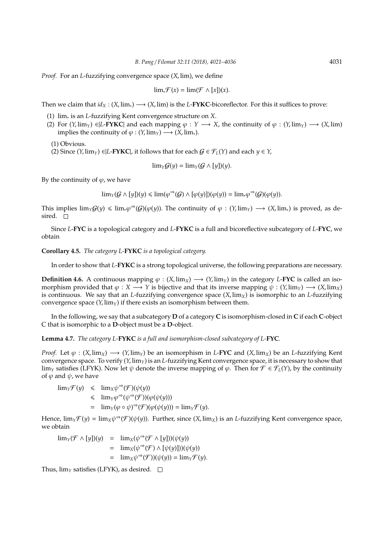*Proof.* For an *L*-fuzzifying convergence space (*X*, lim), we define

$$
\lim_{x} \mathcal{F}(x) = \lim_{x} (\mathcal{F} \wedge [x])(x).
$$

Then we claim that  $id_X$  :  $(X, \text{lim}_*) \longrightarrow (X, \text{lim})$  is the *L*-**FYKC**-bicoreflector. For this it suffices to prove:

- (1) lim<sup>∗</sup> is an *L*-fuzzifying Kent convergence structure on *X*.
- (2) For  $(Y, \lim_{Y} \in [L-FYKC]$  and each mapping  $\varphi : Y \longrightarrow X$ , the continuity of  $\varphi : (Y, \lim_{Y} \to (X, \lim_{Y} \in [L+FYKC])$ implies the continuity of  $\varphi$  : (*Y*, lim<sub>*Y*</sub>)  $\longrightarrow$  (*X*, lim<sub>*\**</sub>).
	- (1) Obvious.

(2) Since (*Y*, lim<sub>*Y*</sub>) ∈|*L*-**FYKC**|, it follows that for each  $G \in \mathcal{F}_L(Y)$  and each  $y \in Y$ ,

$$
\lim_{\Upsilon} \mathcal{G}(y) = \lim_{\Upsilon} (\mathcal{G} \wedge [y])(y).
$$

By the continuity of  $\varphi$ , we have

$$
\lim\nolimits_{Y}(G\wedge [y])(y)\leq \lim(\varphi^{\Rightarrow}(G)\wedge [\varphi(y)])(\varphi(y))=\lim\nolimits_{*}\varphi^{\Rightarrow}(G)(\varphi(y)).
$$

This implies  $\lim_{Y} G(y) \leq \lim_{Y} \varphi \rightarrow (G)(\varphi(y))$ . The continuity of  $\varphi : (Y, \lim_{Y}) \longrightarrow (X, \lim_{Y})$  is proved, as desired.  $\square$ 

Since *L*-**FYC** is a topological category and *L*-**FYKC** is a full and bicoreflective subcategory of *L*-**FYC**, we obtain

**Corollary 4.5.** *The category L-***FYKC** *is a topological category.*

In order to show that *L*-**FYKC** is a strong topological universe, the following preparations are necessary.

**Definition 4.6.** A continuous mapping  $\varphi$  :  $(X, \text{lim}_X) \longrightarrow (Y, \text{lim}_Y)$  in the category *L*-**FYC** is called an isomorphism provided that  $\varphi : X \longrightarrow Y$  is bijective and that its inverse mapping  $\psi : (Y, \lim_{Y}) \longrightarrow (X, \lim_{X})$ is continuous. We say that an *L*-fuzzifying convergence space (*X*, lim*X*) is isomorphic to an *L*-fuzzifying convergence space  $(Y, \lim_{Y}$  if there exists an isomorphism between them.

In the following, we say that a subcategory **D** of a category **C** is isomorphism-closed in **C** if each **C**-object C that is isomorphic to a **D**-object must be a **D**-object.

**Lemma 4.7.** *The category L-***FYKC** *is a full and isomorphism-closed subcategory of L-***FYC***.*

*Proof.* Let  $\varphi$  : (*X*, lim<sub>*X*</sub>)  $\longrightarrow$  (*Y*, lim<sub>*Y*</sub>) be an isomorphism in *L*-**FYC** and (*X*, lim<sub>*X*</sub>) be an *L*-fuzzifying Kent convergence space. To verify (*Y*, lim*Y*) is an *L*-fuzzifying Kent convergence space, it is necessary to show that lim<sub>*Y*</sub> satisfies (LFYK). Now let  $\psi$  denote the inverse mapping of  $\varphi$ . Then for  $\mathcal{F} \in \mathcal{F}_L(Y)$ , by the continuity of  $\varphi$  and  $\psi$ , we have

$$
\begin{array}{rcl}\n\lim_{Y} \mathcal{F}(y) & \leqslant & \lim_{X} \psi^{\Rightarrow} (\mathcal{F})(\psi(y)) \\
& \leqslant & \lim_{Y} \varphi^{\Rightarrow} (\psi^{\Rightarrow} (\mathcal{F}))(\varphi(\psi(y))) \\
& = & \lim_{Y} (\varphi \circ \psi)^{\Rightarrow} (\mathcal{F})(\varphi(\psi(y))) = \lim_{Y} \mathcal{F}(y).\n\end{array}
$$

Hence,  $\lim_Y \mathcal{F}(y) = \lim_X \psi^{\Rightarrow}(\mathcal{F})(\psi(y))$ . Further, since  $(X, \lim_X)$  is an *L*-fuzzifying Kent convergence space, we obtain

 $\lim_Y(\mathcal{F} \wedge [y])(y) = \lim_X(\psi^{\Rightarrow}(\mathcal{F} \wedge [y])(\psi(y))$  $= \lim_{X} (\psi^{\Rightarrow}(\mathcal{F}) \wedge [\psi(y)])(\psi(y))$  $= \lim_{X} \psi^{\Rightarrow}(\mathcal{F}) (\psi(y)) = \lim_{Y} \mathcal{F}(y).$ 

Thus,  $\lim_{Y}$  satisfies (LFYK), as desired.  $\square$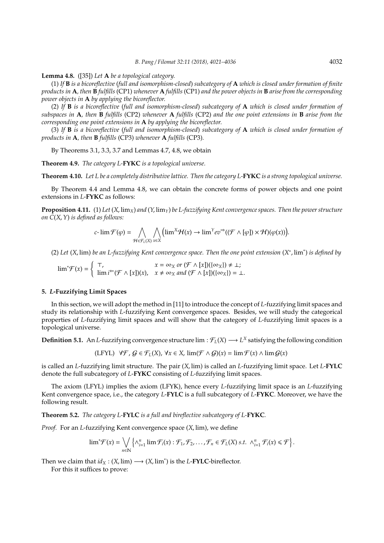**Lemma 4.8.** ([35]) *Let* **A** *be a topological category.*

(1) *If* **B** *is a bicoreflective* (*full and isomorphism-closed*) *subcategory of* **A** *which is closed under formation of finite products in* **A***, then* **B** *fulfills* (CP1) *whenever* **A** *fulfills* (CP1) *and the power objects in* **B** *arise from the corresponding power objects in* **A** *by applying the bicoreflector.*

(2) *If* **B** *is a bicoreflective* (*full and isomorphism-closed*) *subcategory of* **A** *which is closed under formation of subspaces in* **A***, then* **B** *fulfills* (CP2) *whenever* **A** *fulfills* (CP2) *and the one point extensions in* **B** *arise from the corresponding one point extensions in* **A** *by applying the bicoreflector.*

(3) *If* **B** *is a bicoreflective* (*full and isomorphism-closed*) *subcategory of* **A** *which is closed under formation of products in* **A***, then* **B** *fulfills* (CP3) *whenever* **A** *fulfills* (CP3)*.*

By Theorems 3.1, 3.3, 3.7 and Lemmas 4.7, 4.8, we obtain

**Theorem 4.9.** *The category L-***FYKC** *is a topological universe.*

**Theorem 4.10.** *Let L be a completely distributive lattice. Then the category L-***FYKC** *is a strong topological universe.*

By Theorem 4.4 and Lemma 4.8, we can obtain the concrete forms of power objects and one point extensions in *L*-**FYKC** as follows:

**Proposition 4.11.** (1) Let  $(X, \lim_X)$  and  $(Y, \lim_Y)$  be L-fuzzifying Kent convergence spaces. Then the power structure *on C*(*X*,*Y*) *is defined as follows:*

$$
c\text{-}\lim \mathcal{F}(\varphi) = \bigwedge_{\mathcal{H} \in \mathcal{F}_L(X)} \bigwedge_{x \in X} \left( \lim^X \mathcal{H}(x) \to \lim^Y ev^{\Rightarrow}((\mathcal{F} \wedge [\varphi]) \times \mathcal{H})(\varphi(x)) \right).
$$

(2) *Let* (*X*, lim) *be an L-fuzzifying Kent convergence space. Then the one point extension* (*X* ∗ , lim<sup>∗</sup> ) *is defined by*

 $\lim^* \mathcal{F}(x) = \begin{cases} \top, & x = \infty_X \text{ or } (\mathcal{F} \wedge [x])(\{\infty_X\}) \neq \bot; \\ \lim^* \in (\mathcal{F} \wedge [x])(x) & x \neq \infty, \text{ and } (\mathcal{F} \wedge [x])(\{\infty_Y\}) = \bot. \end{cases}$  $\lim i^{\leftarrow}(\mathcal{F} \wedge [x])(x), \quad x \neq \infty_X \text{ and } (\mathcal{F} \wedge [x])(\{\infty_X\}) = \bot.$ 

#### **5.** *L***-Fuzzifying Limit Spaces**

In this section, we will adopt the method in [11] to introduce the concept of *L*-fuzzifying limit spaces and study its relationship with *L*-fuzzifying Kent convergence spaces. Besides, we will study the categorical properties of *L*-fuzzifying limit spaces and will show that the category of *L*-fuzzifying limit spaces is a topological universe.

**Definition 5.1.** An *L*-fuzzifying convergence structure  $\lim : \mathcal{F}_L(X) \longrightarrow L^X$  satisfying the following condition

$$
(\text{LFYL}) \quad \forall \mathcal{F}, \mathcal{G} \in \mathcal{F}_L(X), \ \forall x \in X, \ \lim(\mathcal{F} \wedge \mathcal{G})(x) = \lim \mathcal{F}(x) \wedge \lim \mathcal{G}(x)
$$

is called an *L*-fuzzifying limit structure. The pair (*X*, lim) is called an *L*-fuzzifying limit space. Let *L*-**FYLC** denote the full subcategory of *L*-**FYKC** consisting of *L*-fuzzifying limit spaces.

The axiom (LFYL) implies the axiom (LFYK), hence every *L*-fuzzifying limit space is an *L*-fuzzifying Kent convergence space, i.e., the category *L*-**FYLC** is a full subcategory of *L*-**FYKC**. Moreover, we have the following result.

**Theorem 5.2.** *The category L-***FYLC** *is a full and bireflective subcategory of L-***FYKC***.*

*Proof.* For an *L*-fuzzifying Kent convergence space (*X*, lim), we define

$$
\lim{}^*\mathcal{F}(x)=\bigvee_{n\in\mathbb{N}}\left\{\wedge_{i=1}^n\lim\mathcal{F}_i(x):\mathcal{F}_1,\mathcal{F}_2,\ldots,\mathcal{F}_n\in\mathcal{F}_L(X)\text{ s.t. }\wedge_{i=1}^n\mathcal{F}_i(x)\leq \mathcal{F}\right\}.
$$

Then we claim that  $id_X : (X, \text{lim}) \longrightarrow (X, \text{lim}^*)$  is the *L*-**FYLC**-bireflector.

For this it suffices to prove: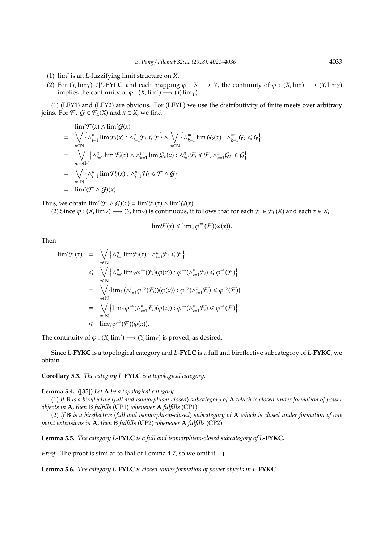- (1) lim<sup>∗</sup> is an *L*-fuzzifying limit structure on *X*.
- (2) For  $(Y, \lim_Y) \in L$ -**FYLC** and each mapping  $\varphi : X \longrightarrow Y$ , the continuity of  $\varphi : (X, \lim) \longrightarrow (Y, \lim_Y)$ implies the continuity of  $\varphi : (X, \text{lim}^*) \longrightarrow (Y, \text{lim}_Y).$

(1) (LFY1) and (LFY2) are obvious. For (LFYL) we use the distributivity of finite meets over arbitrary joins. For  $\mathcal{F}$ ,  $\mathcal{G} \in \mathcal{F}_L(X)$  and  $x \in X$ , we find

$$
\lim_{n \in \mathbb{N}} \mathcal{F}(x) \wedge \lim_{i \in \mathbb{N}} \mathcal{G}(x)
$$
\n
$$
= \bigvee_{n \in \mathbb{N}} \left\{ \wedge_{i=1}^{n} \lim \mathcal{F}_{i}(x) : \wedge_{i=1}^{n} \mathcal{F}_{i} \leq \mathcal{F} \right\} \wedge \bigvee_{m \in \mathbb{N}} \left\{ \wedge_{k=1}^{m} \lim \mathcal{G}_{k}(x) : \wedge_{k=1}^{m} \mathcal{G}_{k} \leq \mathcal{G} \right\}
$$
\n
$$
= \bigvee_{n,m \in \mathbb{N}} \left\{ \wedge_{i=1}^{n} \lim \mathcal{F}_{i}(x) \wedge \wedge_{k=1}^{m} \lim \mathcal{G}_{k}(x) : \wedge_{i=1}^{n} \mathcal{F}_{i} \leq \mathcal{F}, \wedge_{k=1}^{m} \mathcal{G}_{k} \leq \mathcal{G} \right\}
$$
\n
$$
= \bigvee_{n \in \mathbb{N}} \left\{ \wedge_{i=1}^{n} \lim \mathcal{H}_{i}(x) : \wedge_{i=1}^{n} \mathcal{H}_{i} \leq \mathcal{F} \wedge \mathcal{G} \right\}
$$
\n
$$
= \lim_{n \in \mathbb{N}} \mathcal{F} \wedge \mathcal{G}(\mathbf{x}).
$$

Thus, we obtain  $\lim^*(\mathcal{F} \wedge \mathcal{G})(x) = \lim^*\mathcal{F}(x) \wedge \lim^*\mathcal{G}(x)$ .

(2) Since  $\varphi$  :  $(X, \lim_X) \longrightarrow (Y, \lim_Y)$  is continuous, it follows that for each  $\mathcal{F} \in \mathcal{F}_L(X)$  and each  $x \in X$ ,

$$
\lim \mathcal{F}(x) \leq \lim_{\Upsilon \to 0} \varphi^{\Rightarrow}(\mathcal{F})(\varphi(x)).
$$

Then

$$
\begin{array}{rcl}\n\lim^* \mathcal{F}(x) & = & \bigvee_{n \in \mathbb{N}} \left\{ \wedge_{i=1}^n \lim \mathcal{F}_i(x) : \wedge_{i=1}^n \mathcal{F}_i \leq \mathcal{F} \right\} \\
& \leq & \bigvee_{n \in \mathbb{N}} \left\{ \wedge_{i=1}^n \lim_Y \varphi^{\Rightarrow} (\mathcal{F}_i)(\varphi(x)) : \varphi^{\Rightarrow} (\wedge_{i=1}^n \mathcal{F}_i) \leq \varphi^{\Rightarrow} (\mathcal{F}) \right\} \\
& = & \bigvee_{n \in \mathbb{N}} \{ \lim_Y (\wedge_{i=1}^n \varphi^{\Rightarrow} (\mathcal{F}_i))( \varphi(x)) : \varphi^{\Rightarrow} (\wedge_{i=1}^n \mathcal{F}_i) \leq \varphi^{\Rightarrow} (\mathcal{F}) \} \\
& = & \bigvee_{n \in \mathbb{N}} \left\{ \lim_Y \varphi^{\Rightarrow} (\wedge_{i=1}^n \mathcal{F}_i)(\varphi(x)) : \varphi^{\Rightarrow} (\wedge_{i=1}^n \mathcal{F}_i) \leq \varphi^{\Rightarrow} (\mathcal{F}) \right\} \\
& \leq & \lim_Y \varphi^{\Rightarrow} (\mathcal{F})(\varphi(x)).\n\end{array}
$$

The continuity of  $\varphi$  :  $(X, \text{lim}^*) \longrightarrow (Y, \text{lim}_Y)$  is proved, as desired.

Since *L*-**FYKC** is a topological category and *L*-**FYLC** is a full and bireflective subcategory of *L*-**FYKC**, we obtain

**Corollary 5.3.** *The category L-***FYLC** *is a topological category.*

**Lemma 5.4.** ([35]) *Let* **A** *be a topological category.*

(1) *If* **B** *is a bireflective* (*full and isomorphism-closed*) *subcategory of* **A** *which is closed under formation of power objects in* **A***, then* **B** *fulfills* (CP1) *whenever* **A** *fulfills* (CP1)*.*

(2) *If* **B** *is a bireflective* (*full and isomorphism-closed*) *subcategory of* **A** *which is closed under formation of one point extensions in* **A***, then* **B** *fulfills* (CP2) *whenever* **A** *fulfills* (CP2)*.*

**Lemma 5.5.** *The category L-***FYLC** *is a full and isomorphism-closed subcategory of L-***FYKC***.*

*Proof.* The proof is similar to that of Lemma 4.7, so we omit it.  $\square$ 

**Lemma 5.6.** *The category L-***FYLC** *is closed under formation of power objects in L-***FYKC***.*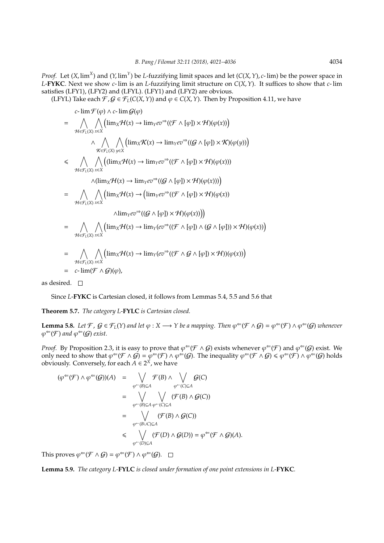*Proof.* Let  $(X, \text{lim}^X)$  and  $(Y, \text{lim}^Y)$  be *L*-fuzzifying limit spaces and let  $(C(X, Y), c$ - lim) be the power space in *L*-**FYKC**. Next we show *c*- lim is an *L*-fuzzifying limit structure on *C*(*X*,*Y*). It suffices to show that *c*- lim satisfies (LFY1), (LFY2) and (LFYL). (LFY1) and (LFY2) are obvious.

(LFYL) Take each  $\mathcal{F}, \mathcal{G} \in \mathcal{F}_L(C(X, Y))$  and  $\varphi \in C(X, Y)$ . Then by Proposition 4.11, we have

$$
c-\lim \mathcal{F}(\varphi) \wedge c-\lim \mathcal{G}(\varphi)
$$
\n
$$
= \bigwedge_{\mathcal{H} \in \mathcal{F}_L(X)} \bigwedge_{x \in X} (\lim_{x \in X} \mathcal{H}(x) \to \lim_{\gamma \in \mathcal{V}} ev^{\Rightarrow}((\mathcal{F} \wedge [\varphi]) \times \mathcal{H})(\varphi(x)))
$$
\n
$$
\wedge \bigwedge_{\mathcal{K} \in \mathcal{F}_L(X)} \bigwedge_{y \in X} (\lim_{x \in X} \mathcal{K}(x) \to \lim_{\gamma \in \mathcal{V}} ev^{\Rightarrow}((\mathcal{G} \wedge [\varphi]) \times \mathcal{K})(\varphi(y)))
$$
\n
$$
\leq \bigwedge_{\mathcal{H} \in \mathcal{F}_L(X)} \bigwedge_{x \in X} ((\lim_{x \in X} \mathcal{H}(x) \to \lim_{\gamma \in \mathcal{V}} ev^{\Rightarrow}((\mathcal{F} \wedge [\varphi]) \times \mathcal{H})(\varphi(x)))
$$
\n
$$
= \bigwedge_{\mathcal{H} \in \mathcal{F}_L(X)} \bigwedge_{x \in X} (\lim_{x \in X} \mathcal{H}(x) \to (\lim_{\gamma \in \mathcal{V}} ev^{\Rightarrow}((\mathcal{F} \wedge [\varphi]) \times \mathcal{H})(\varphi(x)))
$$
\n
$$
= \bigwedge_{\mathcal{H} \in \mathcal{F}_L(X)} \bigwedge_{x \in X} (\lim_{x \in X} \mathcal{H}(x) \to \lim_{\gamma \in \mathcal{V}} (ev^{\Rightarrow}((\mathcal{F} \wedge [\varphi]) \wedge (\mathcal{G} \wedge [\varphi])) \times \mathcal{H})(\varphi(x))
$$
\n
$$
= \bigwedge_{\mathcal{H} \in \mathcal{F}_L(X)} \bigwedge_{x \in X} (\lim_{x \in X} \mathcal{H}(x) \to \lim_{\gamma \in \mathcal{V}} (ev^{\Rightarrow}((\mathcal{F} \wedge \mathcal{G} \wedge [\varphi]) \times \mathcal{H})(\varphi(x)))
$$
\n
$$
= c-\lim(\mathcal{F} \wedge \mathcal{G})(\varphi),
$$

as desired.  $\square$ 

Since *L*-**FYKC** is Cartesian closed, it follows from Lemmas 5.4, 5.5 and 5.6 that

**Theorem 5.7.** *The category L-***FYLC** *is Cartesian closed.*

**Lemma 5.8.** Let F,  $G \in \mathcal{F}_L(Y)$  and let  $\varphi : X \longrightarrow Y$  be a mapping. Then  $\varphi^{\Leftarrow}(\mathcal{F} \wedge G) = \varphi^{\Leftarrow}(\mathcal{F}) \wedge \varphi^{\Leftarrow}(G)$  whenever  $\varphi^{\Leftarrow}(\mathcal{F})$  and  $\varphi^{\Leftarrow}(\mathcal{G})$  exist.

*Proof.* By Proposition 2.3, it is easy to prove that  $\varphi^{\Leftarrow}(\mathcal{F} \wedge \mathcal{G})$  exists whenever  $\varphi^{\Leftarrow}(\mathcal{F})$  and  $\varphi^{\Leftarrow}(\mathcal{G})$  exist. We only need to show that  $\varphi^{\Leftarrow}(\mathcal{F} \wedge \mathcal{G}) = \varphi^{\Leftarrow}(\mathcal{F}) \wedge \varphi^{\Leftarrow}(\mathcal{G})$ . The inequality  $\varphi^{\Leftarrow}(\mathcal{F} \wedge \mathcal{G}) \leq \varphi^{\Leftarrow}(\mathcal{F}) \wedge \varphi^{\Leftarrow}(\mathcal{G})$  holds obviously. Conversely, for each  $A \in 2^X$ , we have

$$
(\varphi^{\Leftarrow}(\mathcal{F}) \land \varphi^{\Leftarrow}(\mathcal{G}))(A) = \bigvee_{\varphi^{\Leftarrow}(B) \subseteq A} \mathcal{F}(B) \land \bigvee_{\varphi^{\Leftarrow}(C) \subseteq A} \mathcal{G}(C)
$$
  

$$
= \bigvee_{\varphi^{\Leftarrow}(B) \subseteq A} \bigvee_{\varphi^{\Leftarrow}(C) \subseteq A} (\mathcal{F}(B) \land \mathcal{G}(C))
$$
  

$$
= \bigvee_{\varphi^{\Leftarrow}(B \cup C) \subseteq A} (\mathcal{F}(B) \land \mathcal{G}(C))
$$
  

$$
\leq \bigvee_{\varphi^{\Leftarrow}(B \cup C) \subseteq A} (\mathcal{F}(D) \land \mathcal{G}(D)) = \varphi^{\Leftarrow}(\mathcal{F} \land \mathcal{G})(A).
$$

This proves  $\varphi^{\Leftarrow}(\mathcal{F} \wedge \mathcal{G}) = \varphi^{\Leftarrow}(\mathcal{F}) \wedge \varphi^{\Leftarrow}(\mathcal{G})$ .

**Lemma 5.9.** *The category L-***FYLC** *is closed under formation of one point extensions in L-***FYKC***.*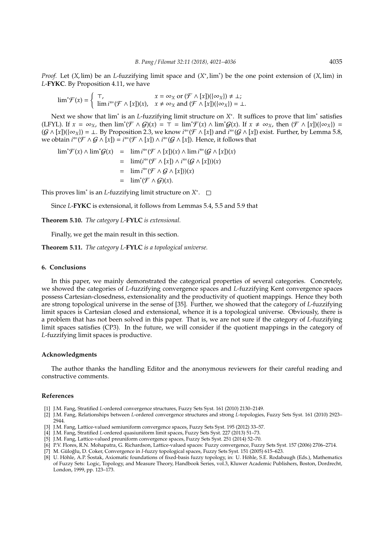*Proof.* Let (*X*, lim) be an *L*-fuzzifying limit space and (*X*<sup>\*</sup>, lim<sup>\*</sup>) be the one point extension of (*X*, lim) in *L*-**FYKC**. By Proposition 4.11, we have

$$
\lim^*\mathcal{F}(x) = \begin{cases} \top, & x = \infty_X \text{ or } (\mathcal{F} \wedge [x])(\{\infty_X\}) \neq \bot; \\ \lim i^{\leftarrow} (\mathcal{F} \wedge [x])(x), & x \neq \infty_X \text{ and } (\mathcal{F} \wedge [x])(\{\infty_X\}) = \bot. \end{cases}
$$

Next we show that lim<sup>\*</sup> is an *L*-fuzzifying limit structure on *X*<sup>\*</sup>. It suffices to prove that lim<sup>\*</sup> satisfies  $(LFYL)$ . If  $x = \infty_X$ , then  $\lim^*(\mathcal{F} \wedge \mathcal{G})(x) = \overline{T} = \lim^* \mathcal{F}(x) \wedge \lim^* \mathcal{G}(x)$ . If  $x \neq \infty_X$ , then  $(\mathcal{F} \wedge [x])(\{\infty_X\}) =$  $(G \wedge [x])(\{\infty_X\}) = \bot$ . By Proposition 2.3, we know  $i^=(\mathcal{F} \wedge [x])$  and  $i^=(G \wedge [x])$  exist. Further, by Lemma 5.8, we obtain *i*<sup>∈</sup>( $\mathcal{F} \wedge \mathcal{G} \wedge [x]$ ) = *i*<sup>∈</sup>( $\mathcal{F} \wedge [x]$ ) ∧ *i*<sup>∈</sup>( $\mathcal{G} \wedge [x]$ ). Hence, it follows that

$$
\lim^* \mathcal{F}(x) \wedge \lim^* \mathcal{G}(x) = \lim i^{\leftarrow} (\mathcal{F} \wedge [x])(x) \wedge \lim i^{\leftarrow} (\mathcal{G} \wedge [x])(x)
$$
  
\n
$$
= \lim (i^{\leftarrow} (\mathcal{F} \wedge [x]) \wedge i^{\leftarrow} (\mathcal{G} \wedge [x])(x)
$$
  
\n
$$
= \lim i^{\leftarrow} (\mathcal{F} \wedge \mathcal{G} \wedge [x])(x)
$$
  
\n
$$
= \lim^* (\mathcal{F} \wedge \mathcal{G})(x).
$$

This proves lim<sup>∗</sup> is an *L*-fuzzifying limit structure on *X* ∗ .

Since *L*-**FYKC** is extensional, it follows from Lemmas 5.4, 5.5 and 5.9 that

**Theorem 5.10.** *The category L-***FYLC** *is extensional.*

Finally, we get the main result in this section.

**Theorem 5.11.** *The category L-***FYLC** *is a topological universe.*

#### **6. Conclusions**

In this paper, we mainly demonstrated the categorical properties of several categories. Concretely, we showed the categories of *L*-fuzzifying convergence spaces and *L*-fuzzifying Kent convergence spaces possess Cartesian-closedness, extensionality and the productivity of quotient mappings. Hence they both are strong topological universe in the sense of [35]. Further, we showed that the category of *L*-fuzzifying limit spaces is Cartesian closed and extensional, whence it is a topological universe. Obviously, there is a problem that has not been solved in this paper. That is, we are not sure if the category of *L*-fuzzifying limit spaces satisfies (CP3). In the future, we will consider if the quotient mappings in the category of *L*-fuzzifying limit spaces is productive.

#### **Acknowledgments**

The author thanks the handling Editor and the anonymous reviewers for their careful reading and constructive comments.

#### **References**

- [1] J.M. Fang, Stratified *L*-ordered convergence structures, Fuzzy Sets Syst. 161 (2010) 2130–2149.
- [2] J.M. Fang, Relationships between *L*-ordered convergence structures and strong *L*-topologies, Fuzzy Sets Syst. 161 (2010) 2923– 2944.
- [3] J.M. Fang, Lattice-valued semiuniform convergence spaces, Fuzzy Sets Syst. 195 (2012) 33–57.
- [4] J.M. Fang, Stratified *L*-ordered quasiuniform limit spaces, Fuzzy Sets Syst. 227 (2013) 51–73.
- [5] J.M. Fang, Lattice-valued preuniform convergence spaces, Fuzzy Sets Syst. 251 (2014) 52–70.
- [6] P.V. Flores, R.N. Mohapatra, G. Richardson, Lattice-valued spaces: Fuzzy convergence, Fuzzy Sets Syst. 157 (2006) 2706–2714.
- [7] M. Güloğlu, D. Coker, Convergence in *I-fuzzy topological spaces*, Fuzzy Sets Syst. 151 (2005) 615–623.
- [8] U. Höhle, A.P. Šostak, Axiomatic foundations of fixed-basis fuzzy topology, in: U. Höhle, S.E. Rodabaugh (Eds.), Mathematics of Fuzzy Sets: Logic, Topology, and Measure Theory, Handbook Series, vol.3, Kluwer Academic Publishers, Boston, Dordrecht, London, 1999, pp. 123–173.